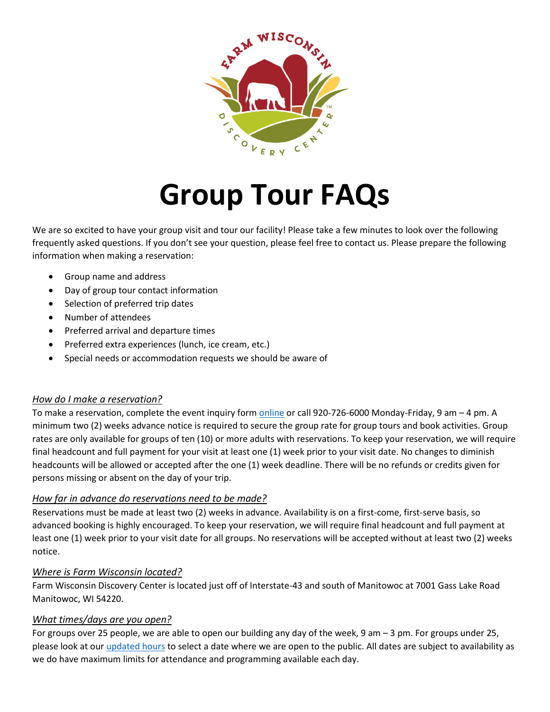

# **Group Tour FAQs**

We are so excited to have your group visit and tour our facility! Please take a few minutes to look over the following frequently asked questions. If you don't see your question, please feel free to contact us. Please prepare the following information when making a reservation:

- Group name and address
- Day of group tour contact information
- Selection of preferred trip dates
- Number of attendees
- Preferred arrival and departure times
- Preferred extra experiences (lunch, ice cream, etc.)
- Special needs or accommodation requests we should be aware of

#### *How do I make a reservation?*

To make a reservation, complete the event inquiry form [online](https://farmwisconsin.org/event-inquiry/) or call 920-726-6000 Monday-Friday, 9 am - 4 pm. A minimum two (2) weeks advance notice is required to secure the group rate for group tours and book activities. Group rates are only available for groups of ten (10) or more adults with reservations. To keep your reservation, we will require final headcount and full payment for your visit at least one (1) week prior to your visit date. No changes to diminish headcounts will be allowed or accepted after the one (1) week deadline. There will be no refunds or credits given for persons missing or absent on the day of your trip.

#### *How far in advance do reservations need to be made?*

Reservations must be made at least two (2) weeks in advance. Availability is on a first-come, first-serve basis, so advanced booking is highly encouraged. To keep your reservation, we will require final headcount and full payment at least one (1) week prior to your visit date for all groups. No reservations will be accepted without at least two (2) weeks notice.

#### *Where is Farm Wisconsin located?*

Farm Wisconsin Discovery Center is located just off of Interstate-43 and south of Manitowoc at 7001 Gass Lake Road Manitowoc, WI 54220.

#### *What times/days are you open?*

For groups over 25 people, we are able to open our building any day of the week, 9 am – 3 pm. For groups under 25, please look at our [updated hours](https://goo.gl/maps/jZgLaQFq53ApRpsh9) to select a date where we are open to the public. All dates are subject to availability as we do have maximum limits for attendance and programming available each day.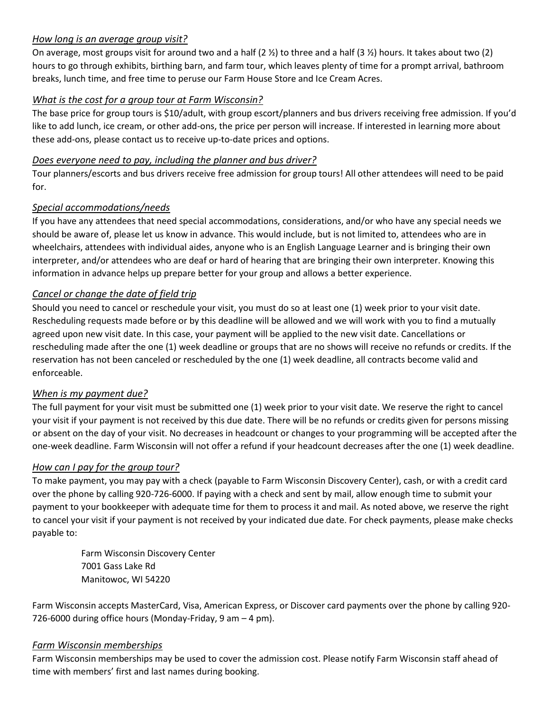# *How long is an average group visit?*

On average, most groups visit for around two and a half  $(2 \frac{1}{2})$  to three and a half  $(3 \frac{1}{2})$  hours. It takes about two  $(2)$ hours to go through exhibits, birthing barn, and farm tour, which leaves plenty of time for a prompt arrival, bathroom breaks, lunch time, and free time to peruse our Farm House Store and Ice Cream Acres.

# *What is the cost for a group tour at Farm Wisconsin?*

The base price for group tours is \$10/adult, with group escort/planners and bus drivers receiving free admission. If you'd like to add lunch, ice cream, or other add-ons, the price per person will increase. If interested in learning more about these add-ons, please contact us to receive up-to-date prices and options.

#### *Does everyone need to pay, including the planner and bus driver?*

Tour planners/escorts and bus drivers receive free admission for group tours! All other attendees will need to be paid for.

## *Special accommodations/needs*

If you have any attendees that need special accommodations, considerations, and/or who have any special needs we should be aware of, please let us know in advance. This would include, but is not limited to, attendees who are in wheelchairs, attendees with individual aides, anyone who is an English Language Learner and is bringing their own interpreter, and/or attendees who are deaf or hard of hearing that are bringing their own interpreter. Knowing this information in advance helps up prepare better for your group and allows a better experience.

## *Cancel or change the date of field trip*

Should you need to cancel or reschedule your visit, you must do so at least one (1) week prior to your visit date. Rescheduling requests made before or by this deadline will be allowed and we will work with you to find a mutually agreed upon new visit date. In this case, your payment will be applied to the new visit date. Cancellations or rescheduling made after the one (1) week deadline or groups that are no shows will receive no refunds or credits. If the reservation has not been canceled or rescheduled by the one (1) week deadline, all contracts become valid and enforceable.

#### *When is my payment due?*

The full payment for your visit must be submitted one (1) week prior to your visit date. We reserve the right to cancel your visit if your payment is not received by this due date. There will be no refunds or credits given for persons missing or absent on the day of your visit. No decreases in headcount or changes to your programming will be accepted after the one-week deadline. Farm Wisconsin will not offer a refund if your headcount decreases after the one (1) week deadline.

#### *How can I pay for the group tour?*

To make payment, you may pay with a check (payable to Farm Wisconsin Discovery Center), cash, or with a credit card over the phone by calling 920-726-6000. If paying with a check and sent by mail, allow enough time to submit your payment to your bookkeeper with adequate time for them to process it and mail. As noted above, we reserve the right to cancel your visit if your payment is not received by your indicated due date. For check payments, please make checks payable to:

> Farm Wisconsin Discovery Center 7001 Gass Lake Rd Manitowoc, WI 54220

Farm Wisconsin accepts MasterCard, Visa, American Express, or Discover card payments over the phone by calling 920- 726-6000 during office hours (Monday-Friday, 9 am – 4 pm).

#### *Farm Wisconsin memberships*

Farm Wisconsin memberships may be used to cover the admission cost. Please notify Farm Wisconsin staff ahead of time with members' first and last names during booking.